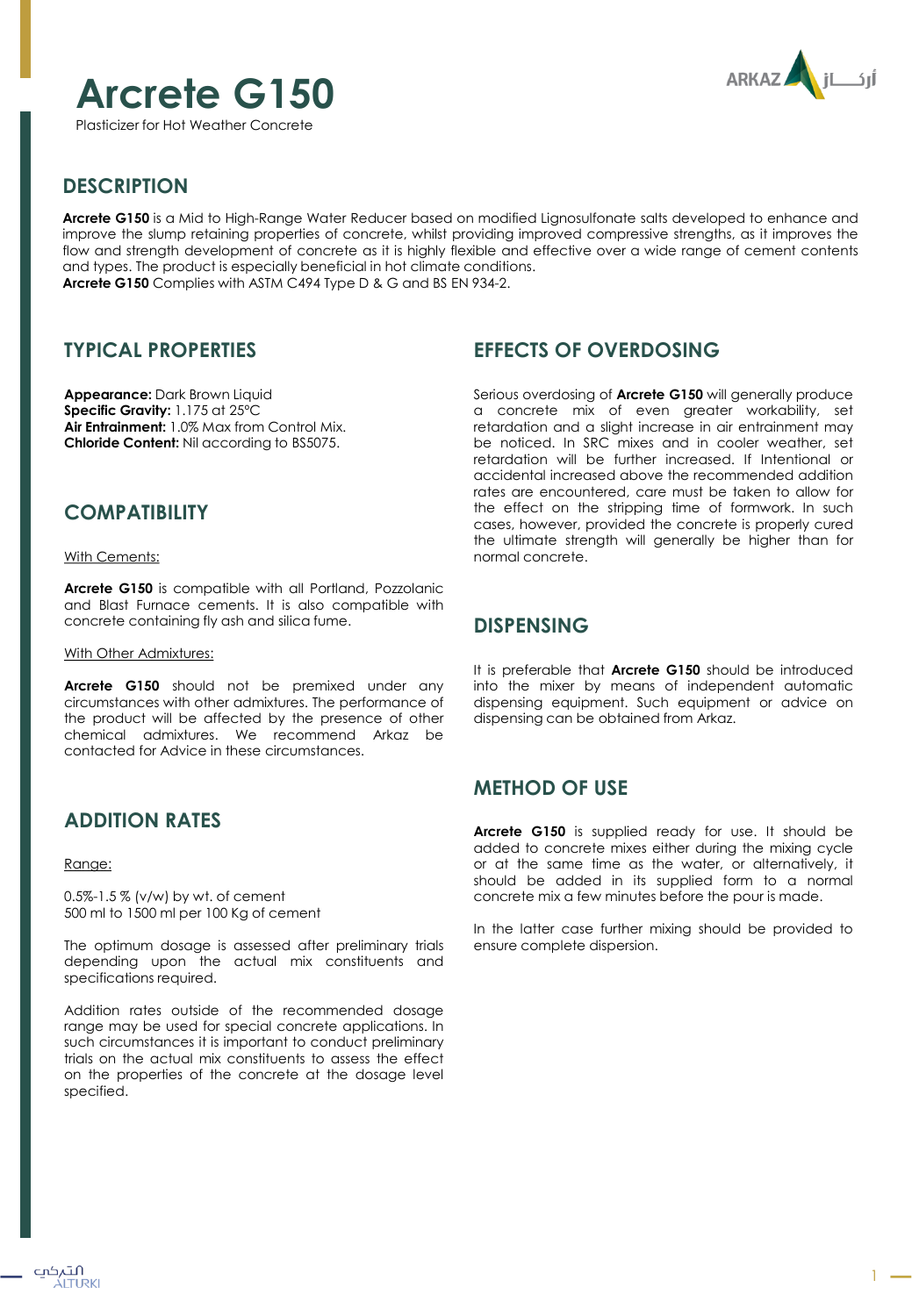# **Arcrete G150**

Plasticizer for Hot Weather Concrete



## **DESCRIPTION**

**Arcrete G150** is a Mid to High-Range Water Reducer based on modified Lignosulfonate salts developed to enhance and improve the slump retaining properties of concrete, whilst providing improved compressive strengths, as it improves the flow and strength development of concrete as it is highly flexible and effective over a wide range of cement contents and types. The product is especially beneficial in hot climate conditions. **Arcrete G150** Complies with ASTM C494 Type D & G and BS EN 934-2.

## **TYPICAL PROPERTIES**

**Appearance:** Dark Brown Liquid **Specific Gravity:** 1.175 at 25ºC **Air Entrainment:** 1.0% Max from Control Mix. **Chloride Content:** Nil according to BS5075.

## **COMPATIBILITY**

With Cements:

**Arcrete G150** is compatible with all Portland, Pozzolanic and Blast Furnace cements. It is also compatible with concrete containing fly ash and silica fume.

With Other Admixtures:

**Arcrete G150** should not be premixed under any circumstances with other admixtures. The performance of the product will be affected by the presence of other chemical admixtures. We recommend Arkaz be contacted for Advice in these circumstances.

# **ADDITION RATES**

#### Range:

0.5%-1.5 % (v/w) by wt. of cement 500 ml to 1500 ml per 100 Kg of cement

The optimum dosage is assessed after preliminary trials depending upon the actual mix constituents and specifications required.

Addition rates outside of the recommended dosage range may be used for special concrete applications. In such circumstances it is important to conduct preliminary trials on the actual mix constituents to assess the effect on the properties of the concrete at the dosage level specified.

# **EFFECTS OF OVERDOSING**

Serious overdosing of **Arcrete G150** will generally produce a concrete mix of even greater workability, set retardation and a slight increase in air entrainment may be noticed. In SRC mixes and in cooler weather, set retardation will be further increased. If Intentional or accidental increased above the recommended addition rates are encountered, care must be taken to allow for the effect on the stripping time of formwork. In such cases, however, provided the concrete is properly cured the ultimate strength will generally be higher than for normal concrete.

## **DISPENSING**

It is preferable that **Arcrete G150** should be introduced into the mixer by means of independent automatic dispensing equipment. Such equipment or advice on dispensing can be obtained from Arkaz.

# **METHOD OF USE**

**Arcrete G150** is supplied ready for use. It should be added to concrete mixes either during the mixing cycle or at the same time as the water, or alternatively, it should be added in its supplied form to a normal concrete mix a few minutes before the pour is made.

In the latter case further mixing should be provided to ensure complete dispersion.